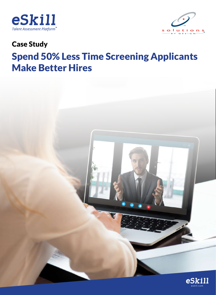



## Case Study

# Spend 50% Less Time Screening Applicants Make Better Hires